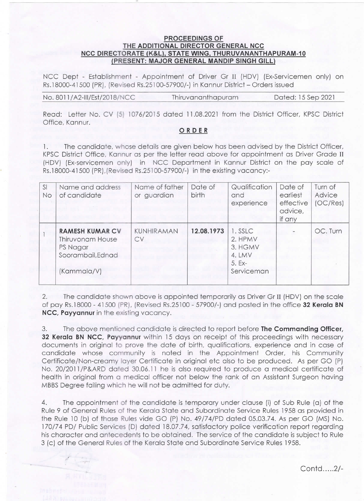## PROCEEDINGS OF THE ADDITIONAL DIRECTOR GENERAL NCC NCC DIRECTORATE (K&L), STATE WING, THURUVANANTHAPURAM-10 (PRESENT: MAJOR GENERAL MANDIP SINGH GILL)

NCC Dept - Establishment - Appointment of Driver Gr 11 (HDV) (Ex-Servicemen only) on Rs.18000-41500 (PR), (Revised Rs.25100-57900/-) in Kannur District -Orders issued

Read: Letter No. CV (5) 1076/2015 dated 11.08.2021 from the District Officer, KPSC District Office, Kannur.

## ORDER

1. The candidate, whose details are given below has been advised by the District Officer, KPSC District Office, Kannur as per the letter read above for appointment as Driver Grade 11 (HDV) (Ex-servicemen only) in NCC Department in Kannur District on the pay scale of Rs.18000-41500 (PR),(Revised Rs.25100-57900/-) in the existing vacancy:-

| SI<br>No | Name and address<br>of candidate                                                           | Name of father<br>or guardian | Date of<br>birth | Qualification<br>and<br>experience                                | Date of<br>earliest<br>effective<br>advice,<br>if any | Turn of<br>Advice<br>(OC/Res) |
|----------|--------------------------------------------------------------------------------------------|-------------------------------|------------------|-------------------------------------------------------------------|-------------------------------------------------------|-------------------------------|
|          | <b>RAMESH KUMAR CV</b><br>Thiruvonam House<br>PS Nagar<br>Soorambail, Ednad<br>(Kammala/V) | KUNHIRAMAN<br><b>CV</b>       | 12.08.1973       | 1. SSLC<br>2. HPMV<br>3. HGMV<br>4. LMV<br>$5. Ex-$<br>Serviceman |                                                       | OC. Turn                      |

2. The candidate shown above is appointed temporarily as Driver Gr II (HDV) on the scale of pay Rs.18000 - 41500 (PR), (Revised Rs.25100 - 57900/-) and posted in the office 32 Kerala BN NCC, Payyannur in the existing vacancy.

3. The above mentioned candidate is directed to report before The Commanding Officer, 32 Kerala BN NCC, Payyannur within 15 days on receipt of this proceedings with necessary documents in original to prove the date of birth, qualifications, experience and in case of candidate whose community is noted in the Appointment Order, his Community Certificate/Non-creamy layer Certificate in original etc also to be produced. As per GO (P) No. 20/2011/P&ARD dated 30.06.11 he is also required to produce a medical certificate of health in original from a medical officer not below the rank of an Assistant Surgeon having MBBS Degree failing which he will not be admitted for duty.

4. The appointment of the candidate is temporary under clause (i) of sub Rule (a) of the Rule 9 of General Rules of the Kerala State and Subordinate Service Rules 1958 as provided in the Rule 10 (b) of those Rules vide GO (P) No. 49/74/PD dated 05.03.74. As per GO (MS) No. 170/74 PD/ Public Services (D) dated 18.07.74, satisfactory police verification report regarding his character and antecedents to be obtained. The service of the candidate is subject to Rule 3 (c) of the General Rules of the Kerala State and Subordinate Service Rules 1958.